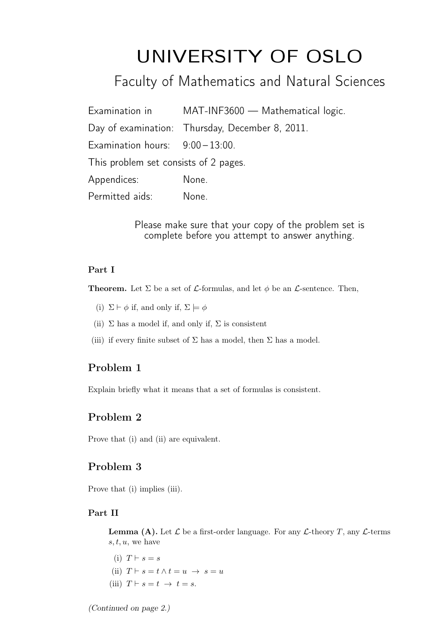# UNIVERSITY OF OSLO

Faculty of Mathematics and Natural Sciences

| Examination in                        | MAT-INF3600 — Mathematical logic.               |
|---------------------------------------|-------------------------------------------------|
|                                       | Day of examination: Thursday, December 8, 2011. |
| Examination hours: $9:00-13:00$ .     |                                                 |
| This problem set consists of 2 pages. |                                                 |
| Appendices:                           | None.                                           |
| Permitted aids:                       | None.                                           |

Please make sure that your copy of the problem set is complete before you attempt to answer anything.

### Part I

**Theorem.** Let  $\Sigma$  be a set of  $\mathcal{L}$ -formulas, and let  $\phi$  be an  $\mathcal{L}$ -sentence. Then,

- (i)  $\Sigma \vdash \phi$  if, and only if,  $\Sigma \models \phi$
- (ii)  $\Sigma$  has a model if, and only if,  $\Sigma$  is consistent
- (iii) if every finite subset of  $\Sigma$  has a model, then  $\Sigma$  has a model.

## Problem 1

Explain briefly what it means that a set of formulas is consistent.

# Problem 2

Prove that (i) and (ii) are equivalent.

#### Problem 3

Prove that (i) implies (iii).

#### Part II

**Lemma (A).** Let  $\mathcal L$  be a first-order language. For any  $\mathcal L$ -theory T, any  $\mathcal L$ -terms  $s, t, u$ , we have

(i)  $T \vdash s = s$ (ii)  $T \vdash s = t \land t = u \rightarrow s = u$ (iii)  $T \vdash s = t \rightarrow t = s$ .

(Continued on page 2.)